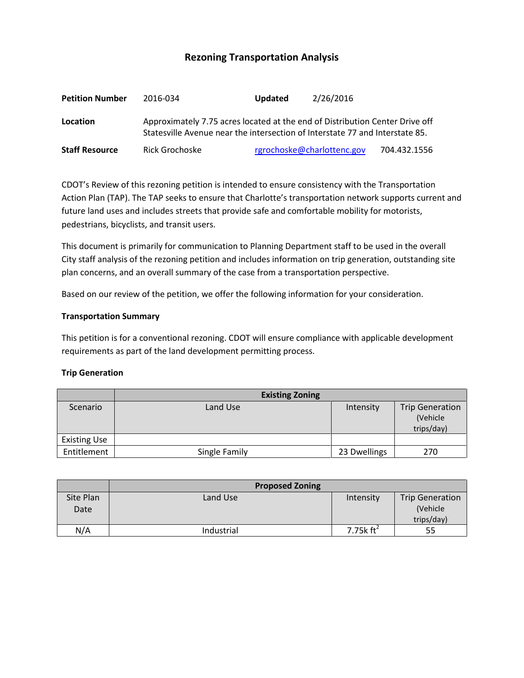# **Rezoning Transportation Analysis**

| <b>Petition Number</b> | 2016-034                                                                                                                                                     | <b>Updated</b> | 2/26/2016                  |              |  |
|------------------------|--------------------------------------------------------------------------------------------------------------------------------------------------------------|----------------|----------------------------|--------------|--|
| Location               | Approximately 7.75 acres located at the end of Distribution Center Drive off<br>Statesville Avenue near the intersection of Interstate 77 and Interstate 85. |                |                            |              |  |
| <b>Staff Resource</b>  | Rick Grochoske                                                                                                                                               |                | rgrochoske@charlottenc.gov | 704.432.1556 |  |

CDOT's Review of this rezoning petition is intended to ensure consistency with the Transportation Action Plan (TAP). The TAP seeks to ensure that Charlotte's transportation network supports current and future land uses and includes streets that provide safe and comfortable mobility for motorists, pedestrians, bicyclists, and transit users.

This document is primarily for communication to Planning Department staff to be used in the overall City staff analysis of the rezoning petition and includes information on trip generation, outstanding site plan concerns, and an overall summary of the case from a transportation perspective.

Based on our review of the petition, we offer the following information for your consideration.

#### **Transportation Summary**

This petition is for a conventional rezoning. CDOT will ensure compliance with applicable development requirements as part of the land development permitting process.

#### **Trip Generation**

|                     | <b>Existing Zoning</b> |              |                                                   |  |
|---------------------|------------------------|--------------|---------------------------------------------------|--|
| Scenario            | Land Use               | Intensity    | <b>Trip Generation</b><br>(Vehicle)<br>trips/day) |  |
| <b>Existing Use</b> |                        |              |                                                   |  |
| Entitlement         | Single Family          | 23 Dwellings | 270                                               |  |

|                   | <b>Proposed Zoning</b> |                       |                                                  |
|-------------------|------------------------|-----------------------|--------------------------------------------------|
| Site Plan<br>Date | Land Use               | Intensity             | <b>Trip Generation</b><br>(Vehicle<br>trips/day) |
| N/A               | Industrial             | 7.75 $k \text{ ft}^2$ | 55                                               |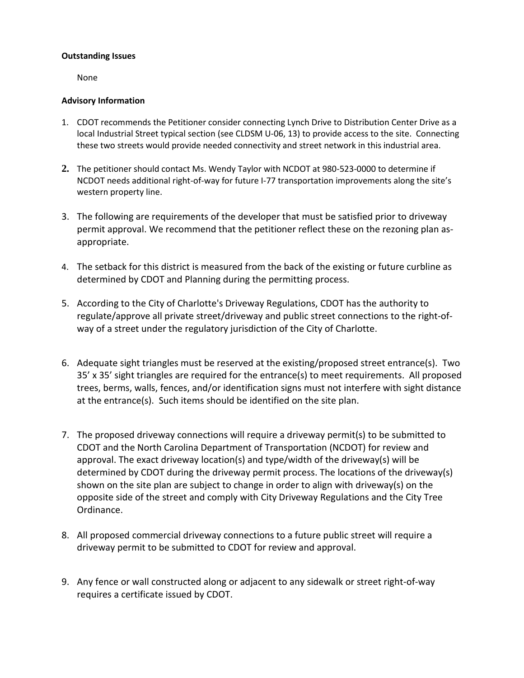## **Outstanding Issues**

None

### **Advisory Information**

- 1. CDOT recommends the Petitioner consider connecting Lynch Drive to Distribution Center Drive as a local Industrial Street typical section (see CLDSM U-06, 13) to provide access to the site. Connecting these two streets would provide needed connectivity and street network in this industrial area.
- **2.** The petitioner should contact Ms. Wendy Taylor with NCDOT at 980-523-0000 to determine if NCDOT needs additional right-of-way for future I-77 transportation improvements along the site's western property line.
- 3. The following are requirements of the developer that must be satisfied prior to driveway permit approval. We recommend that the petitioner reflect these on the rezoning plan asappropriate.
- 4. The setback for this district is measured from the back of the existing or future curbline as determined by CDOT and Planning during the permitting process.
- 5. According to the City of Charlotte's Driveway Regulations, CDOT has the authority to regulate/approve all private street/driveway and public street connections to the right-ofway of a street under the regulatory jurisdiction of the City of Charlotte.
- 6. Adequate sight triangles must be reserved at the existing/proposed street entrance(s). Two 35' x 35' sight triangles are required for the entrance(s) to meet requirements. All proposed trees, berms, walls, fences, and/or identification signs must not interfere with sight distance at the entrance(s). Such items should be identified on the site plan.
- 7. The proposed driveway connections will require a driveway permit(s) to be submitted to CDOT and the North Carolina Department of Transportation (NCDOT) for review and approval. The exact driveway location(s) and type/width of the driveway(s) will be determined by CDOT during the driveway permit process. The locations of the driveway(s) shown on the site plan are subject to change in order to align with driveway(s) on the opposite side of the street and comply with City Driveway Regulations and the City Tree Ordinance.
- 8. All proposed commercial driveway connections to a future public street will require a driveway permit to be submitted to CDOT for review and approval.
- 9. Any fence or wall constructed along or adjacent to any sidewalk or street right-of-way requires a certificate issued by CDOT.